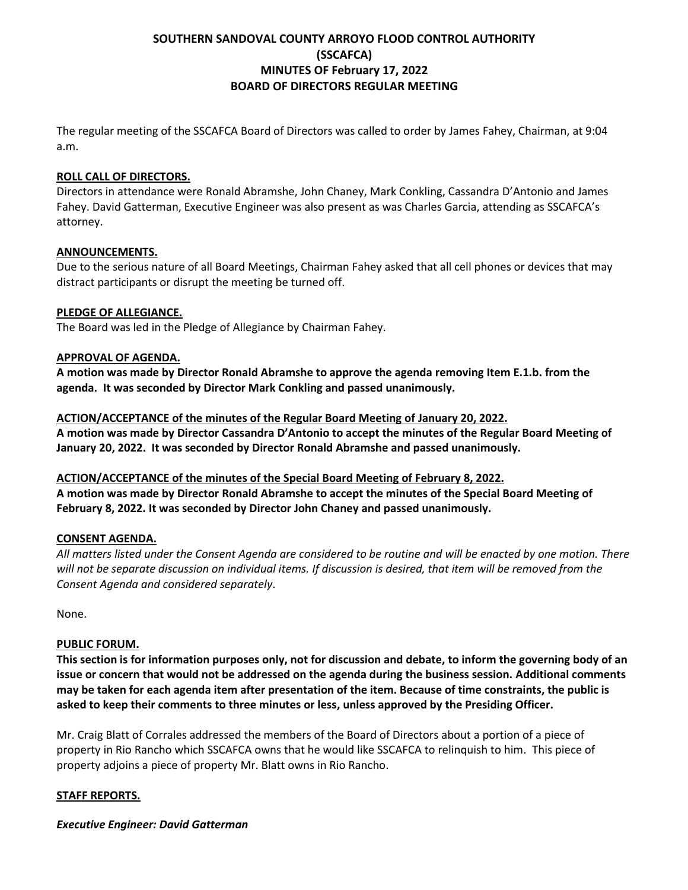# **SOUTHERN SANDOVAL COUNTY ARROYO FLOOD CONTROL AUTHORITY (SSCAFCA) MINUTES OF February 17, 2022 BOARD OF DIRECTORS REGULAR MEETING**

The regular meeting of the SSCAFCA Board of Directors was called to order by James Fahey, Chairman, at 9:04 a.m.

#### **ROLL CALL OF DIRECTORS.**

Directors in attendance were Ronald Abramshe, John Chaney, Mark Conkling, Cassandra D'Antonio and James Fahey. David Gatterman, Executive Engineer was also present as was Charles Garcia, attending as SSCAFCA's attorney.

#### **ANNOUNCEMENTS.**

Due to the serious nature of all Board Meetings, Chairman Fahey asked that all cell phones or devices that may distract participants or disrupt the meeting be turned off.

#### **PLEDGE OF ALLEGIANCE.**

The Board was led in the Pledge of Allegiance by Chairman Fahey.

#### **APPROVAL OF AGENDA.**

**A motion was made by Director Ronald Abramshe to approve the agenda removing Item E.1.b. from the agenda. It was seconded by Director Mark Conkling and passed unanimously.**

#### **ACTION/ACCEPTANCE of the minutes of the Regular Board Meeting of January 20, 2022.**

**A motion was made by Director Cassandra D'Antonio to accept the minutes of the Regular Board Meeting of January 20, 2022. It was seconded by Director Ronald Abramshe and passed unanimously.**

# **ACTION/ACCEPTANCE of the minutes of the Special Board Meeting of February 8, 2022.**

**A motion was made by Director Ronald Abramshe to accept the minutes of the Special Board Meeting of February 8, 2022. It was seconded by Director John Chaney and passed unanimously.**

#### **CONSENT AGENDA.**

*All matters listed under the Consent Agenda are considered to be routine and will be enacted by one motion. There*  will not be separate discussion on individual items. If discussion is desired, that item will be removed from the *Consent Agenda and considered separately*.

None.

#### **PUBLIC FORUM.**

**This section is for information purposes only, not for discussion and debate, to inform the governing body of an issue or concern that would not be addressed on the agenda during the business session. Additional comments may be taken for each agenda item after presentation of the item. Because of time constraints, the public is asked to keep their comments to three minutes or less, unless approved by the Presiding Officer.**

Mr. Craig Blatt of Corrales addressed the members of the Board of Directors about a portion of a piece of property in Rio Rancho which SSCAFCA owns that he would like SSCAFCA to relinquish to him. This piece of property adjoins a piece of property Mr. Blatt owns in Rio Rancho.

#### **STAFF REPORTS.**

*Executive Engineer: David Gatterman*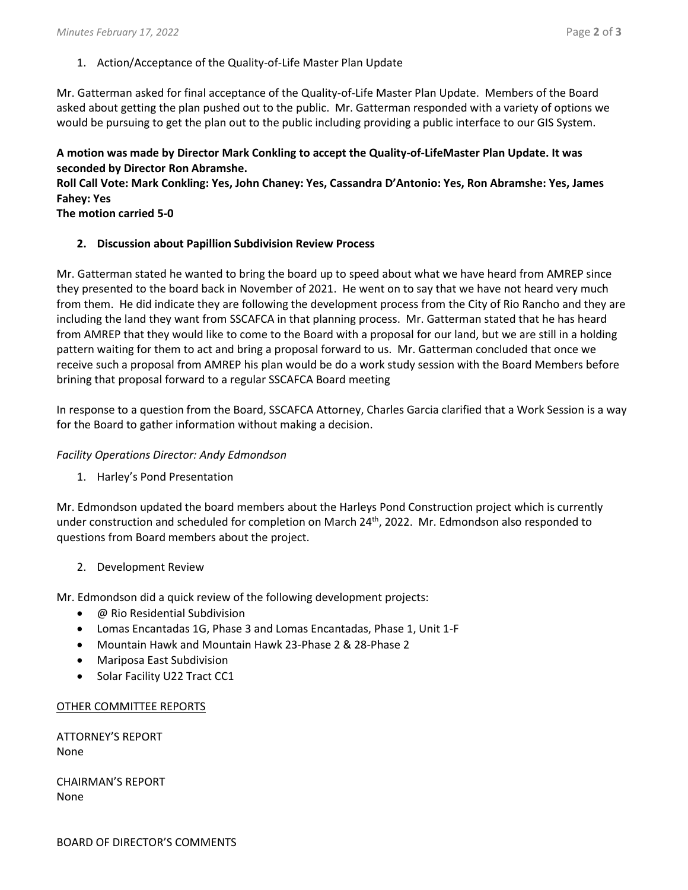1. Action/Acceptance of the Quality-of-Life Master Plan Update

Mr. Gatterman asked for final acceptance of the Quality-of-Life Master Plan Update. Members of the Board asked about getting the plan pushed out to the public. Mr. Gatterman responded with a variety of options we would be pursuing to get the plan out to the public including providing a public interface to our GIS System.

## **A motion was made by Director Mark Conkling to accept the Quality-of-LifeMaster Plan Update. It was seconded by Director Ron Abramshe.**

**Roll Call Vote: Mark Conkling: Yes, John Chaney: Yes, Cassandra D'Antonio: Yes, Ron Abramshe: Yes, James Fahey: Yes**

**The motion carried 5-0**

**2. Discussion about Papillion Subdivision Review Process**

Mr. Gatterman stated he wanted to bring the board up to speed about what we have heard from AMREP since they presented to the board back in November of 2021. He went on to say that we have not heard very much from them. He did indicate they are following the development process from the City of Rio Rancho and they are including the land they want from SSCAFCA in that planning process. Mr. Gatterman stated that he has heard from AMREP that they would like to come to the Board with a proposal for our land, but we are still in a holding pattern waiting for them to act and bring a proposal forward to us. Mr. Gatterman concluded that once we receive such a proposal from AMREP his plan would be do a work study session with the Board Members before brining that proposal forward to a regular SSCAFCA Board meeting

In response to a question from the Board, SSCAFCA Attorney, Charles Garcia clarified that a Work Session is a way for the Board to gather information without making a decision.

## *Facility Operations Director: Andy Edmondson*

1. Harley's Pond Presentation

Mr. Edmondson updated the board members about the Harleys Pond Construction project which is currently under construction and scheduled for completion on March 24<sup>th</sup>, 2022. Mr. Edmondson also responded to questions from Board members about the project.

2. Development Review

Mr. Edmondson did a quick review of the following development projects:

- @ Rio Residential Subdivision
- Lomas Encantadas 1G, Phase 3 and Lomas Encantadas, Phase 1, Unit 1-F
- Mountain Hawk and Mountain Hawk 23-Phase 2 & 28-Phase 2
- Mariposa East Subdivision
- Solar Facility U22 Tract CC1

#### OTHER COMMITTEE REPORTS

ATTORNEY'S REPORT None

CHAIRMAN'S REPORT None